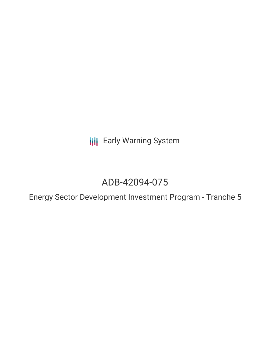**III** Early Warning System

# ADB-42094-075

Energy Sector Development Investment Program - Tranche 5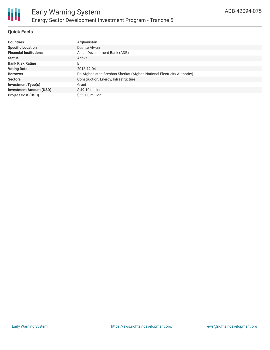

#### **Quick Facts**

| <b>Countries</b>               | Afghanistan                                                            |
|--------------------------------|------------------------------------------------------------------------|
| <b>Specific Location</b>       | Dashte Alwan                                                           |
| <b>Financial Institutions</b>  | Asian Development Bank (ADB)                                           |
| <b>Status</b>                  | Active                                                                 |
| <b>Bank Risk Rating</b>        | B                                                                      |
| <b>Voting Date</b>             | 2013-12-04                                                             |
| <b>Borrower</b>                | Da Afghanistan Breshna Sherkat (Afghan National Electricity Authority) |
| <b>Sectors</b>                 | Construction, Energy, Infrastructure                                   |
| Investment Type(s)             | Grant                                                                  |
| <b>Investment Amount (USD)</b> | $$49.10$ million                                                       |
| <b>Project Cost (USD)</b>      | $$53.00$ million                                                       |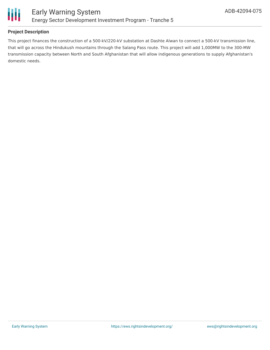

#### **Project Description**

This project finances the construction of a 500-kV/220-kV substation at Dashte Alwan to connect a 500-kV transmission line, that will go across the Hindukush mountains through the Salang Pass route. This project will add 1,000MW to the 300-MW transmission capacity between North and South Afghanistan that will allow indigenous generations to supply Afghanistan's domestic needs.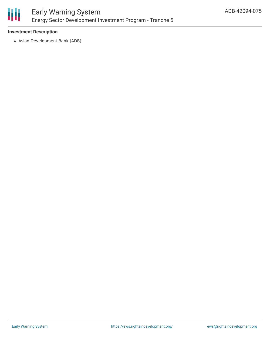

## Early Warning System Energy Sector Development Investment Program - Tranche 5

#### **Investment Description**

Asian Development Bank (ADB)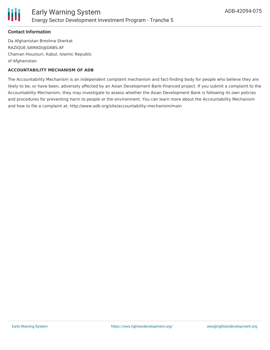

#### **Contact Information**

Da Afghanistan Breshna Sherkat RAZIQUE.SAMADI@DABS.AF Chaman Houzouri, Kabul, Islamic Republic of Afghanistan

#### **ACCOUNTABILITY MECHANISM OF ADB**

The Accountability Mechanism is an independent complaint mechanism and fact-finding body for people who believe they are likely to be, or have been, adversely affected by an Asian Development Bank-financed project. If you submit a complaint to the Accountability Mechanism, they may investigate to assess whether the Asian Development Bank is following its own policies and procedures for preventing harm to people or the environment. You can learn more about the Accountability Mechanism and how to file a complaint at: http://www.adb.org/site/accountability-mechanism/main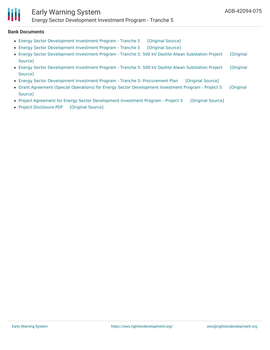## Early Warning System

Energy Sector Development Investment Program - Tranche 5

#### **Bank Documents**

- Energy Sector [Development](https://ewsdata.rightsindevelopment.org/files/documents/75/ADB-42094-075_9E17J0u.pdf) Investment Program Tranche 5 [\[Original](https://www.adb.org/projects/documents/energy-sector-development-investment-program-tranche-5-earf) Source]
- Energy Sector [Development](https://ewsdata.rightsindevelopment.org/files/documents/75/ADB-42094-075_KQLVozx.pdf) Investment Program Tranche 5 [\[Original](https://www.adb.org/projects/documents/energy-sector-development-investment-program-tranche-5-rf) Source]
- Energy Sector [Development](https://ewsdata.rightsindevelopment.org/files/documents/75/ADB-42094-075_bo4xzR1.pdf) Investment Program Tranche 5: 500 kV Dashte Alwan Substation Project [Original Source]
- Energy Sector [Development](https://ewsdata.rightsindevelopment.org/files/documents/75/ADB-42094-075_rFd5Dq3.pdf) Investment Program Tranche 5: 500 kV Dashte Alwan Substation Project [Original Source]
- Energy Sector [Development](https://ewsdata.rightsindevelopment.org/files/documents/75/ADB-42094-075_8hhS8y9.pdf) Investment Program Tranche 5: Procurement Plan [\[Original](https://www.adb.org/projects/documents/energy-sector-development-investment-program-tranche-5-pp) Source]
- Grant Agreement (Special Operations) for Energy Sector [Development](https://www.adb.org/projects/documents/grant-agreement-special-operations-energy-sector-development-investment-program-p5) Investment Program Project 5 [Original Source]
- Project Agreement for Energy Sector [Development](https://ewsdata.rightsindevelopment.org/files/documents/75/ADB-42094-075_pRBOwrd.pdf) Investment Program Project 5 [\[Original](https://www.adb.org/projects/documents/project-agreement-energy-sector-development-investment-program-p5) Source]
- Project [Disclosure](https://ewsdata.rightsindevelopment.org/files/documents/75/ADB-42094-075.pdf) PDF [\[Original](https://www.adb.org/printpdf/projects/42094-075/main) Source]